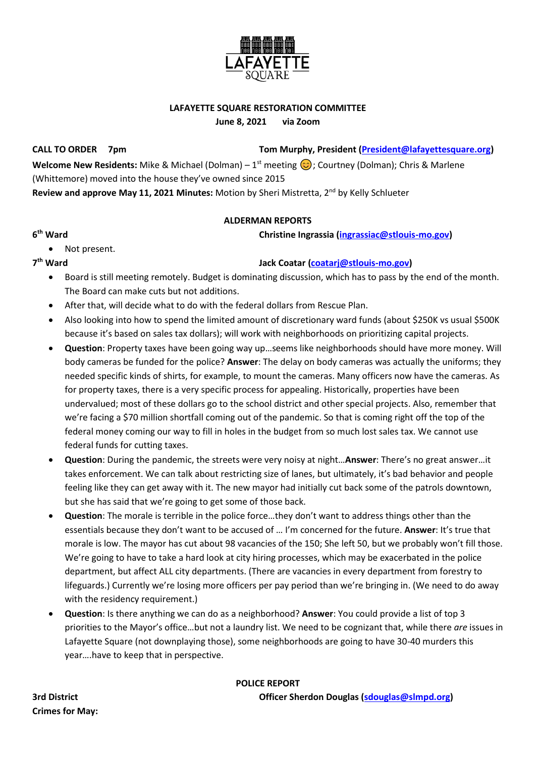

## **LAFAYETTE SQUARE RESTORATION COMMITTEE**

**June 8, 2021 via Zoom**

**CALL TO ORDER 7pm Tom Murphy, President [\(President@lafayettesquare.org\)](mailto:President@lafayettesquare.org)** 

**Welcome New Residents:** Mike & Michael (Dolman) – 1<sup>st</sup> meeting **⊙**; Courtney (Dolman); Chris & Marlene (Whittemore) moved into the house they've owned since 2015 **Review and approve May 11, 2021 Minutes:** Motion by Sheri Mistretta, 2nd by Kelly Schlueter

## **ALDERMAN REPORTS**

**th Ward Christine Ingrassia [\(ingrassiac@stlouis-mo.gov\)](mailto:ingrassiac@stlouis-mo.gov)** 

• Not present.

## 7<sup>th</sup> Ward

**6**

## **th Ward Jack Coatar [\(coatarj@stlouis-mo.gov\)](mailto:coatarj@stlouis-mo.gov)**

- Board is still meeting remotely. Budget is dominating discussion, which has to pass by the end of the month. The Board can make cuts but not additions.
- After that, will decide what to do with the federal dollars from Rescue Plan.
- Also looking into how to spend the limited amount of discretionary ward funds (about \$250K vs usual \$500K because it's based on sales tax dollars); will work with neighborhoods on prioritizing capital projects.
- **Question**: Property taxes have been going way up…seems like neighborhoods should have more money. Will body cameras be funded for the police? **Answer**: The delay on body cameras was actually the uniforms; they needed specific kinds of shirts, for example, to mount the cameras. Many officers now have the cameras. As for property taxes, there is a very specific process for appealing. Historically, properties have been undervalued; most of these dollars go to the school district and other special projects. Also, remember that we're facing a \$70 million shortfall coming out of the pandemic. So that is coming right off the top of the federal money coming our way to fill in holes in the budget from so much lost sales tax. We cannot use federal funds for cutting taxes.
- **Question**: During the pandemic, the streets were very noisy at night…**Answer**: There's no great answer…it takes enforcement. We can talk about restricting size of lanes, but ultimately, it's bad behavior and people feeling like they can get away with it. The new mayor had initially cut back some of the patrols downtown, but she has said that we're going to get some of those back.
- **Question**: The morale is terrible in the police force…they don't want to address things other than the essentials because they don't want to be accused of … I'm concerned for the future. **Answer**: It's true that morale is low. The mayor has cut about 98 vacancies of the 150; She left 50, but we probably won't fill those. We're going to have to take a hard look at city hiring processes, which may be exacerbated in the police department, but affect ALL city departments. (There are vacancies in every department from forestry to lifeguards.) Currently we're losing more officers per pay period than we're bringing in. (We need to do away with the residency requirement.)
- **Question**: Is there anything we can do as a neighborhood? **Answer**: You could provide a list of top 3 priorities to the Mayor's office…but not a laundry list. We need to be cognizant that, while there *are* issues in Lafayette Square (not downplaying those), some neighborhoods are going to have 30-40 murders this year….have to keep that in perspective.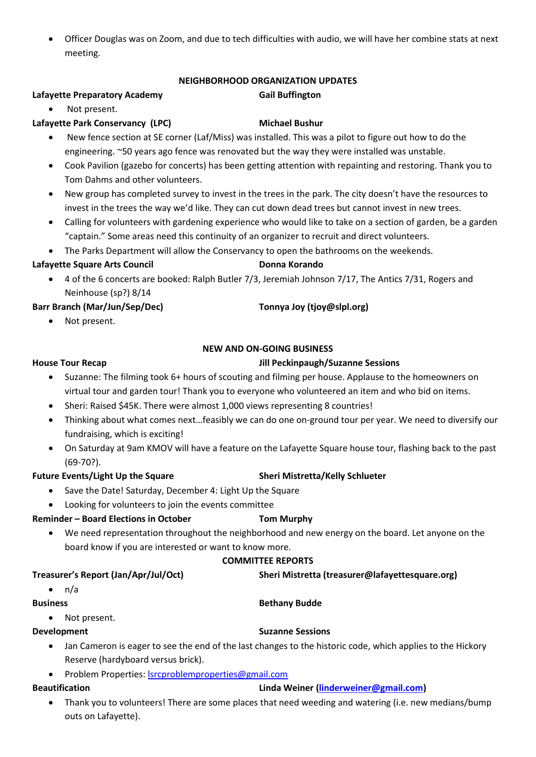• Officer Douglas was on Zoom, and due to tech difficulties with audio, we will have her combine stats at next meeting.

## **NEIGHBORHOOD ORGANIZATION UPDATES**

### Lafayette Preparatory Academy **Gail Buffington**

• Not present.

## Lafayette Park Conservancy (LPC) Michael Bushur

- New fence section at SE corner (Laf/Miss) was installed. This was a pilot to figure out how to do the engineering. ~50 years ago fence was renovated but the way they were installed was unstable.
- Cook Pavilion (gazebo for concerts) has been getting attention with repainting and restoring. Thank you to Tom Dahms and other volunteers.
- New group has completed survey to invest in the trees in the park. The city doesn't have the resources to invest in the trees the way we'd like. They can cut down dead trees but cannot invest in new trees.
- Calling for volunteers with gardening experience who would like to take on a section of garden, be a garden "captain." Some areas need this continuity of an organizer to recruit and direct volunteers.
- The Parks Department will allow the Conservancy to open the bathrooms on the weekends.

## **Lafayette Square Arts Council Donna Korando Donna Korando**

• 4 of the 6 concerts are booked: Ralph Butler 7/3, Jeremiah Johnson 7/17, The Antics 7/31, Rogers and Neinhouse (sp?) 8/14

## **Barr Branch (Mar/Jun/Sep/Dec) Tonnya Joy (tjoy@slpl.org)**

• Not present.

## **NEW AND ON-GOING BUSINESS**

### **House Tour Recap Jill Peckinpaugh/Suzanne Sessions**

- Suzanne: The filming took 6+ hours of scouting and filming per house. Applause to the homeowners on virtual tour and garden tour! Thank you to everyone who volunteered an item and who bid on items.
- Sheri: Raised \$45K. There were almost 1,000 views representing 8 countries!
- Thinking about what comes next…feasibly we can do one on-ground tour per year. We need to diversify our fundraising, which is exciting!
- On Saturday at 9am KMOV will have a feature on the Lafayette Square house tour, flashing back to the past (69-70?).

## **Future Events/Light Up the Square Sheri Mistretta/Kelly Schlueter**

- Save the Date! Saturday, December 4: Light Up the Square
- Looking for volunteers to join the events committee

## **Reminder – Board Elections in October Tom Murphy**

• We need representation throughout the neighborhood and new energy on the board. Let anyone on the board know if you are interested or want to know more.

## **COMMITTEE REPORTS**

## **Treasurer's Report (Jan/Apr/Jul/Oct) Sheri Mistretta (treasurer@lafayettesquare.org)**

### $\bullet$  n/a

• Not present.

## **Development** Suzanne Sessions

- Jan Cameron is eager to see the end of the last changes to the historic code, which applies to the Hickory Reserve (hardyboard versus brick).
- Problem Properties: [lsrcproblemproperties@gmail.com](mailto:lsrcproblemproperties@gmail.com)

## **Beautification Linda Weiner [\(linderweiner@gmail.com\)](mailto:linderweiner@gmail.com)**

• Thank you to volunteers! There are some places that need weeding and watering (i.e. new medians/bump outs on Lafayette).

# **Business Bethany Budde**